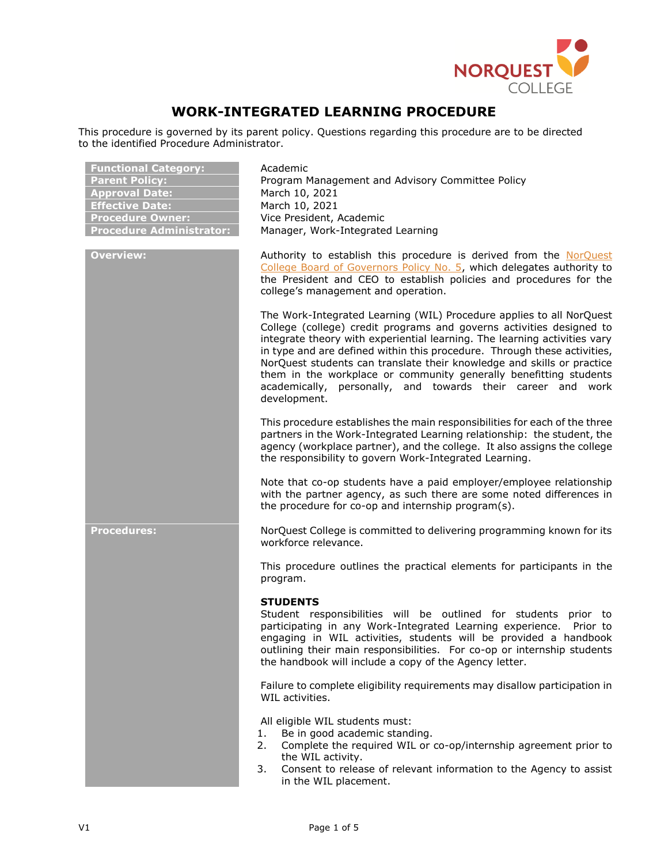

# **WORK-INTEGRATED LEARNING PROCEDURE**

This procedure is governed by its parent policy. Questions regarding this procedure are to be directed to the identified Procedure Administrator.

| <b>Functional Category:</b><br><b>Parent Policy:</b><br><b>Approval Date:</b><br><b>Effective Date:</b><br><b>Procedure Owner:</b><br><b>Procedure Administrator:</b> | Academic<br>Program Management and Advisory Committee Policy<br>March 10, 2021<br>March 10, 2021<br>Vice President, Academic<br>Manager, Work-Integrated Learning                                                                                                                                                                                                                                                                                                                                                                   |
|-----------------------------------------------------------------------------------------------------------------------------------------------------------------------|-------------------------------------------------------------------------------------------------------------------------------------------------------------------------------------------------------------------------------------------------------------------------------------------------------------------------------------------------------------------------------------------------------------------------------------------------------------------------------------------------------------------------------------|
| <b>Overview:</b>                                                                                                                                                      | Authority to establish this procedure is derived from the NorQuest<br>College Board of Governors Policy No. 5, which delegates authority to<br>the President and CEO to establish policies and procedures for the<br>college's management and operation.                                                                                                                                                                                                                                                                            |
|                                                                                                                                                                       | The Work-Integrated Learning (WIL) Procedure applies to all NorQuest<br>College (college) credit programs and governs activities designed to<br>integrate theory with experiential learning. The learning activities vary<br>in type and are defined within this procedure. Through these activities,<br>NorQuest students can translate their knowledge and skills or practice<br>them in the workplace or community generally benefitting students<br>academically, personally, and towards their career and work<br>development. |
|                                                                                                                                                                       | This procedure establishes the main responsibilities for each of the three<br>partners in the Work-Integrated Learning relationship: the student, the<br>agency (workplace partner), and the college. It also assigns the college<br>the responsibility to govern Work-Integrated Learning.                                                                                                                                                                                                                                         |
|                                                                                                                                                                       | Note that co-op students have a paid employer/employee relationship<br>with the partner agency, as such there are some noted differences in<br>the procedure for co-op and internship program(s).                                                                                                                                                                                                                                                                                                                                   |
| <b>Procedures:</b>                                                                                                                                                    | NorQuest College is committed to delivering programming known for its<br>workforce relevance.                                                                                                                                                                                                                                                                                                                                                                                                                                       |
|                                                                                                                                                                       | This procedure outlines the practical elements for participants in the<br>program.                                                                                                                                                                                                                                                                                                                                                                                                                                                  |
|                                                                                                                                                                       | <b>STUDENTS</b><br>Student responsibilities will be outlined for students prior to<br>participating in any Work-Integrated Learning experience. Prior to<br>engaging in WIL activities, students will be provided a handbook<br>outlining their main responsibilities. For co-op or internship students<br>the handbook will include a copy of the Agency letter.                                                                                                                                                                   |
|                                                                                                                                                                       | Failure to complete eligibility requirements may disallow participation in<br>WIL activities.                                                                                                                                                                                                                                                                                                                                                                                                                                       |
|                                                                                                                                                                       | All eligible WIL students must:<br>Be in good academic standing.<br>1.<br>Complete the required WIL or co-op/internship agreement prior to<br>2.<br>the WIL activity.<br>Consent to release of relevant information to the Agency to assist<br>3.<br>in the WIL placement.                                                                                                                                                                                                                                                          |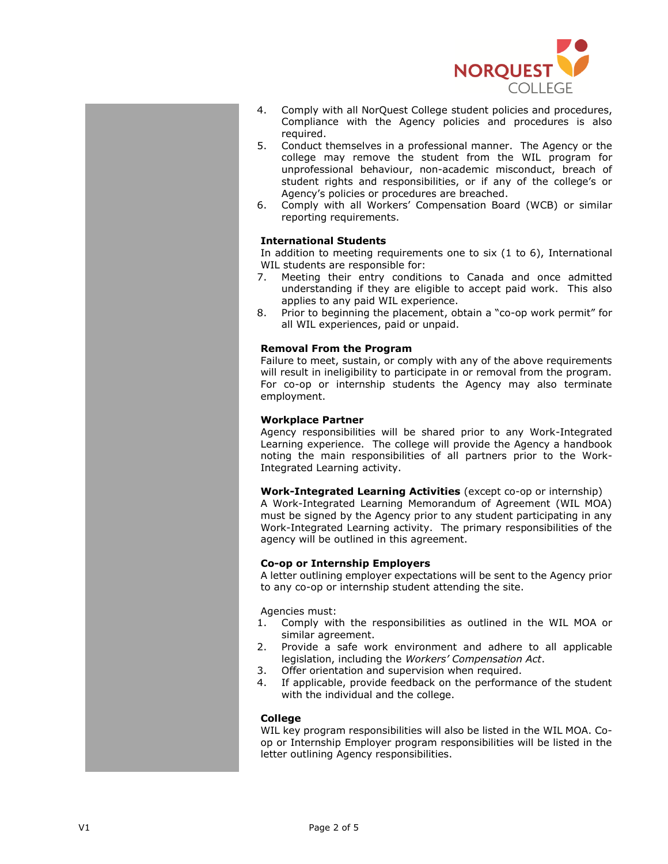

- 4. Comply with all NorQuest College student policies and procedures, Compliance with the Agency policies and procedures is also required.
- 5. Conduct themselves in a professional manner. The Agency or the college may remove the student from the WIL program for unprofessional behaviour, non-academic misconduct, breach of student rights and responsibilities, or if any of the college's or Agency's policies or procedures are breached.
- 6. Comply with all Workers' Compensation Board (WCB) or similar reporting requirements.

# **International Students**

In addition to meeting requirements one to six (1 to 6), International WIL students are responsible for:

- 7. Meeting their entry conditions to Canada and once admitted understanding if they are eligible to accept paid work. This also applies to any paid WIL experience.
- 8. Prior to beginning the placement, obtain a "co-op work permit" for all WIL experiences, paid or unpaid.

## **Removal From the Program**

Failure to meet, sustain, or comply with any of the above requirements will result in ineligibility to participate in or removal from the program. For co-op or internship students the Agency may also terminate employment.

## **Workplace Partner**

Agency responsibilities will be shared prior to any Work-Integrated Learning experience. The college will provide the Agency a handbook noting the main responsibilities of all partners prior to the Work-Integrated Learning activity.

**Work-Integrated Learning Activities** (except co-op or internship) A Work-Integrated Learning Memorandum of Agreement (WIL MOA) must be signed by the Agency prior to any student participating in any Work-Integrated Learning activity. The primary responsibilities of the agency will be outlined in this agreement.

# **Co-op or Internship Employers**

A letter outlining employer expectations will be sent to the Agency prior to any co-op or internship student attending the site.

Agencies must:

- 1. Comply with the responsibilities as outlined in the WIL MOA or similar agreement.
- 2. Provide a safe work environment and adhere to all applicable legislation, including the *Workers' Compensation Act*.
- 3. Offer orientation and supervision when required.
- 4. If applicable, provide feedback on the performance of the student with the individual and the college.

#### **College**

WIL key program responsibilities will also be listed in the WIL MOA. Coop or Internship Employer program responsibilities will be listed in the letter outlining Agency responsibilities.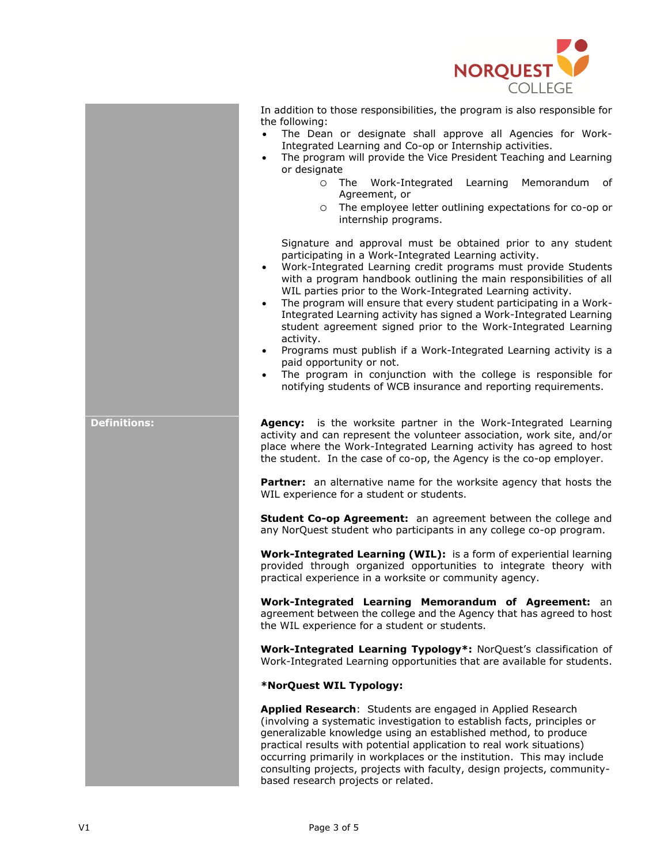

In addition to those responsibilities, the program is also responsible for the following:

- The Dean or designate shall approve all Agencies for Work-Integrated Learning and Co-op or Internship activities.
- The program will provide the Vice President Teaching and Learning or designate
	- o The Work-Integrated Learning Memorandum of Agreement, or
	- o The employee letter outlining expectations for co-op or internship programs.

Signature and approval must be obtained prior to any student participating in a Work-Integrated Learning activity.

- Work-Integrated Learning credit programs must provide Students with a program handbook outlining the main responsibilities of all WIL parties prior to the Work-Integrated Learning activity.
- The program will ensure that every student participating in a Work-Integrated Learning activity has signed a Work-Integrated Learning student agreement signed prior to the Work-Integrated Learning activity.
- Programs must publish if a Work-Integrated Learning activity is a paid opportunity or not.
- The program in conjunction with the college is responsible for notifying students of WCB insurance and reporting requirements.

**Definitions: Agency:** is the worksite partner in the Work-Integrated Learning activity and can represent the volunteer association, work site, and/or place where the Work-Integrated Learning activity has agreed to host the student. In the case of co-op, the Agency is the co-op employer.

> **Partner:** an alternative name for the worksite agency that hosts the WIL experience for a student or students.

> **Student Co-op Agreement:** an agreement between the college and any NorQuest student who participants in any college co-op program.

> **Work-Integrated Learning (WIL):** is a form of experiential learning provided through organized opportunities to integrate theory with practical experience in a worksite or community agency.

> **Work-Integrated Learning Memorandum of Agreement:** an agreement between the college and the Agency that has agreed to host the WIL experience for a student or students.

> **Work-Integrated Learning Typology\*:** NorQuest's classification of Work-Integrated Learning opportunities that are available for students.

#### **\*NorQuest WIL Typology:**

**Applied Research**: Students are engaged in Applied Research (involving a systematic investigation to establish facts, principles or generalizable knowledge using an established method, to produce practical results with potential application to real work situations) occurring primarily in workplaces or the institution. This may include consulting projects, projects with faculty, design projects, communitybased research projects or related.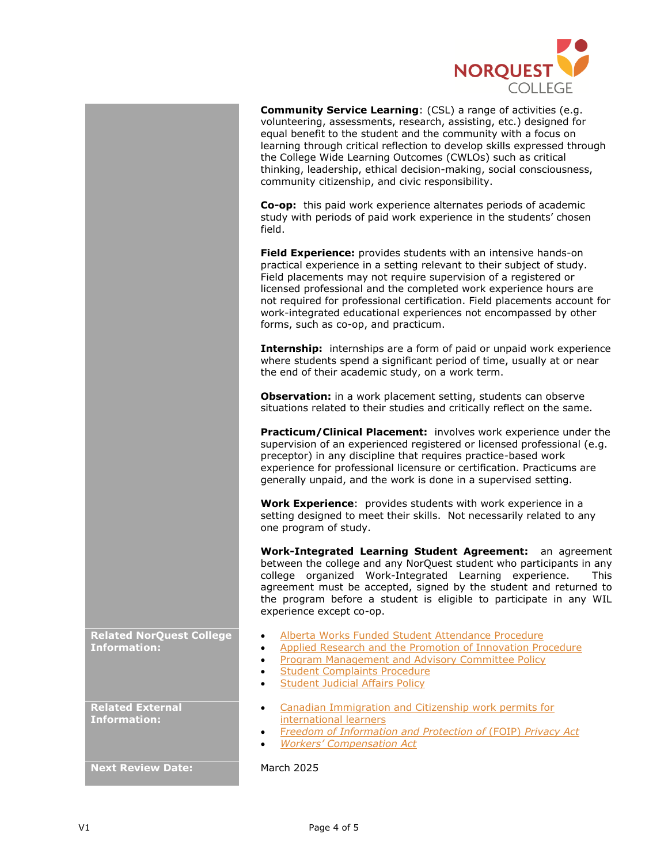

**Community Service Learning**: (CSL) a range of activities (e.g. volunteering, assessments, research, assisting, etc.) designed for

|                                          | equal benefit to the student and the community with a focus on<br>learning through critical reflection to develop skills expressed through<br>the College Wide Learning Outcomes (CWLOs) such as critical<br>thinking, leadership, ethical decision-making, social consciousness,<br>community citizenship, and civic responsibility.                                                                                                                                    |
|------------------------------------------|--------------------------------------------------------------------------------------------------------------------------------------------------------------------------------------------------------------------------------------------------------------------------------------------------------------------------------------------------------------------------------------------------------------------------------------------------------------------------|
|                                          | Co-op: this paid work experience alternates periods of academic<br>study with periods of paid work experience in the students' chosen<br>field.                                                                                                                                                                                                                                                                                                                          |
|                                          | Field Experience: provides students with an intensive hands-on<br>practical experience in a setting relevant to their subject of study.<br>Field placements may not require supervision of a registered or<br>licensed professional and the completed work experience hours are<br>not required for professional certification. Field placements account for<br>work-integrated educational experiences not encompassed by other<br>forms, such as co-op, and practicum. |
|                                          | <b>Internship:</b> internships are a form of paid or unpaid work experience<br>where students spend a significant period of time, usually at or near<br>the end of their academic study, on a work term.                                                                                                                                                                                                                                                                 |
|                                          | <b>Observation:</b> in a work placement setting, students can observe<br>situations related to their studies and critically reflect on the same.                                                                                                                                                                                                                                                                                                                         |
|                                          | Practicum/Clinical Placement: involves work experience under the<br>supervision of an experienced registered or licensed professional (e.g.<br>preceptor) in any discipline that requires practice-based work<br>experience for professional licensure or certification. Practicums are<br>generally unpaid, and the work is done in a supervised setting.                                                                                                               |
|                                          | Work Experience: provides students with work experience in a<br>setting designed to meet their skills. Not necessarily related to any<br>one program of study.                                                                                                                                                                                                                                                                                                           |
|                                          | <b>Work-Integrated Learning Student Agreement:</b><br>an agreement<br>between the college and any NorQuest student who participants in any<br>college organized Work-Integrated Learning experience.<br>This.<br>agreement must be accepted, signed by the student and returned to<br>the program before a student is eligible to participate in any WIL<br>experience except co-op.                                                                                     |
| <b>ited NorQuest College</b><br>rmation: | Alberta Works Funded Student Attendance Procedure<br>$\bullet$<br>Applied Research and the Promotion of Innovation Procedure<br>$\bullet$<br><b>Program Management and Advisory Committee Policy</b><br>$\bullet$<br><b>Student Complaints Procedure</b><br><b>Student Judicial Affairs Policy</b><br>$\bullet$                                                                                                                                                          |
| <b>ited External</b><br>rmation:         | Canadian Immigration and Citizenship work permits for<br>$\bullet$<br>international learners<br>Freedom of Information and Protection of (FOIP) Privacy Act<br>٠<br><b>Workers' Compensation Act</b>                                                                                                                                                                                                                                                                     |
|                                          |                                                                                                                                                                                                                                                                                                                                                                                                                                                                          |

**Rela Information:**

**Relate Info** 

**Next Review Date:** March 2025